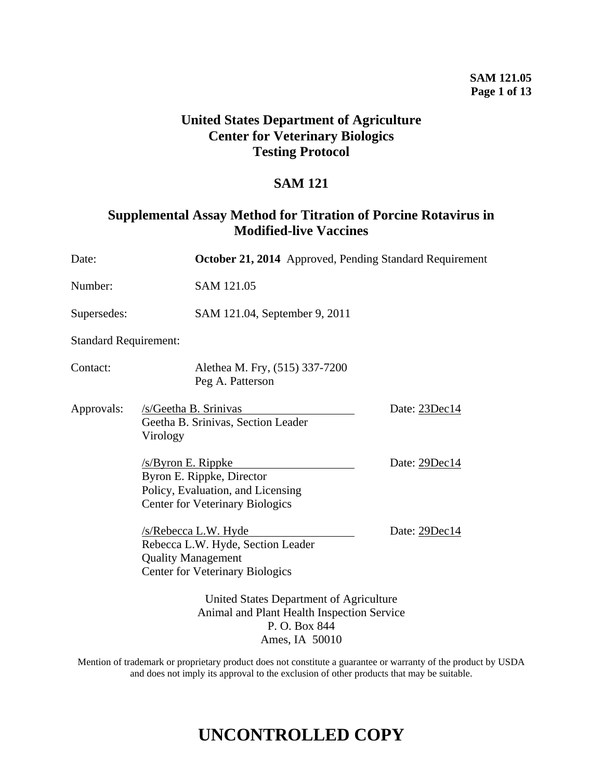## **SAM 121.05 Page 1 of 13**

## **United States Department of Agriculture Center for Veterinary Biologics Testing Protocol**

## **SAM 121**

## **Supplemental Assay Method for Titration of Porcine Rotavirus in Modified-live Vaccines**

| Date:                        |                                                                                                                                  | October 21, 2014 Approved, Pending Standard Requirement |  |
|------------------------------|----------------------------------------------------------------------------------------------------------------------------------|---------------------------------------------------------|--|
| Number:                      | SAM 121.05                                                                                                                       |                                                         |  |
| Supersedes:                  | SAM 121.04, September 9, 2011                                                                                                    |                                                         |  |
| <b>Standard Requirement:</b> |                                                                                                                                  |                                                         |  |
| Contact:                     | Alethea M. Fry, (515) 337-7200<br>Peg A. Patterson                                                                               |                                                         |  |
| Approvals:                   | /s/Geetha B. Srinivas<br>Geetha B. Srinivas, Section Leader<br>Virology                                                          | Date: 23Dec14                                           |  |
|                              | /s/Byron E. Rippke<br>Byron E. Rippke, Director<br>Policy, Evaluation, and Licensing<br><b>Center for Veterinary Biologics</b>   | Date: 29Dec14                                           |  |
|                              | /s/Rebecca L.W. Hyde<br>Rebecca L.W. Hyde, Section Leader<br><b>Quality Management</b><br><b>Center for Veterinary Biologics</b> | Date: 29Dec14                                           |  |
|                              | United States Department of Agriculture<br>Animal and Plant Health Inspection Service<br>P.O. Box 844<br>Ames, IA 50010          |                                                         |  |

Mention of trademark or proprietary product does not constitute a guarantee or warranty of the product by USDA and does not imply its approval to the exclusion of other products that may be suitable.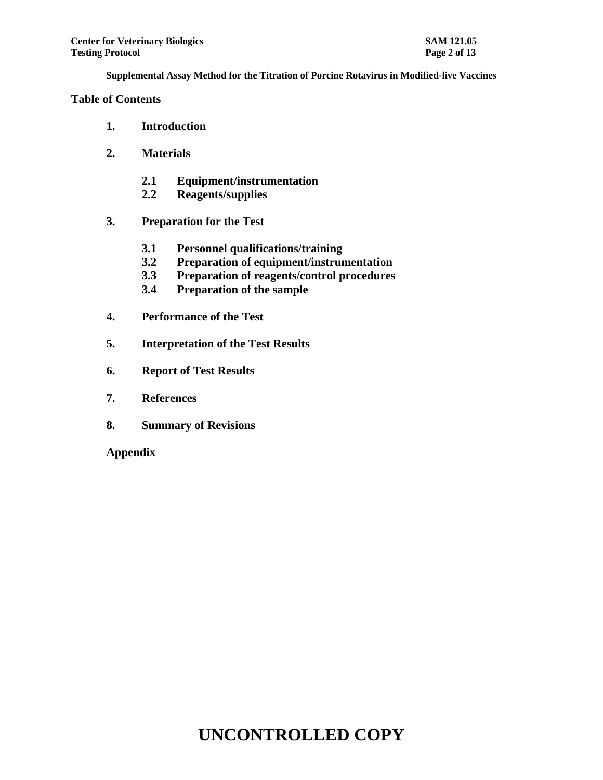#### **Table of Contents**

- **1. Introduction**
- **2. Materials**
	- **2.1 Equipment/instrumentation**
	- **2.2 Reagents/supplies**
- **3. Preparation for the Test**
	- **3.1 Personnel qualifications/training**
	- **3.2 Preparation of equipment/instrumentation**
	- **3.3 Preparation of reagents/control procedures**
	- **3.4 Preparation of the sample**
- **4. Performance of the Test**
- **5. Interpretation of the Test Results**
- **6. Report of Test Results**
- **7. References**
- **8. Summary of Revisions**

**Appendix**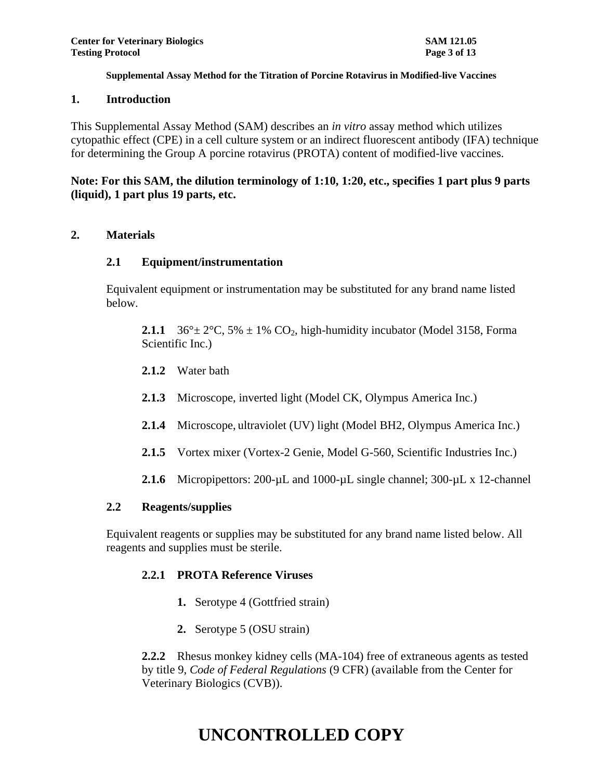#### **1. Introduction**

This Supplemental Assay Method (SAM) describes an *in vitro* assay method which utilizes cytopathic effect (CPE) in a cell culture system or an indirect fluorescent antibody (IFA) technique for determining the Group A porcine rotavirus (PROTA) content of modified-live vaccines.

## **Note: For this SAM, the dilution terminology of 1:10, 1:20, etc., specifies 1 part plus 9 parts (liquid), 1 part plus 19 parts, etc.**

## **2. Materials**

#### **2.1 Equipment/instrumentation**

Equivalent equipment or instrumentation may be substituted for any brand name listed below.

**2.1.1** 36° $\pm$  2°C, 5%  $\pm$  1% CO<sub>2</sub>, high-humidity incubator (Model 3158, Forma Scientific Inc.)

- **2.1.2** Water bath
- **2.1.3** Microscope, inverted light (Model CK, Olympus America Inc.)
- **2.1.4** Microscope, ultraviolet (UV) light (Model BH2, Olympus America Inc.)
- **2.1.5** Vortex mixer (Vortex-2 Genie, Model G-560, Scientific Industries Inc.)
- **2.1.6** Micropipettors: 200-µL and 1000-µL single channel; 300-µL x 12-channel

#### **2.2 Reagents/supplies**

Equivalent reagents or supplies may be substituted for any brand name listed below. All reagents and supplies must be sterile.

## **2.2.1 PROTA Reference Viruses**

- **1.** Serotype 4 (Gottfried strain)
- **2.** Serotype 5 (OSU strain)

**2.2.2** Rhesus monkey kidney cells (MA-104) free of extraneous agents as tested by title 9, *Code of Federal Regulations* (9 CFR) (available from the Center for Veterinary Biologics (CVB)).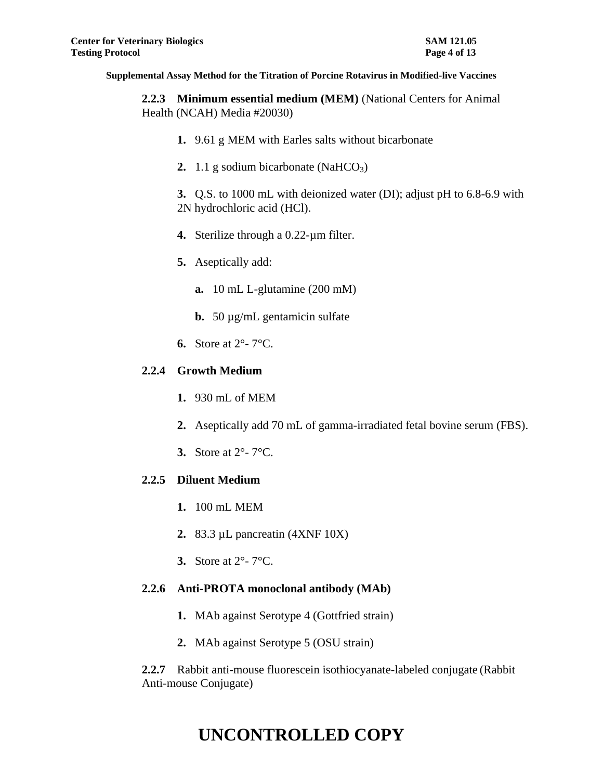**2.2.3 Minimum essential medium (MEM)** (National Centers for Animal Health (NCAH) Media #20030)

- **1.** 9.61 g MEM with Earles salts without bicarbonate
- **2.** 1.1 g sodium bicarbonate  $(NaHCO<sub>3</sub>)$

**3.** Q.S. to 1000 mL with deionized water (DI); adjust pH to 6.8-6.9 with 2N hydrochloric acid (HCl).

- **4.** Sterilize through a 0.22-µm filter.
- **5.** Aseptically add:
	- **a.** 10 mL L-glutamine (200 mM)
	- **b.** 50 µg/mL gentamicin sulfate
- **6.** Store at 2°- 7°C.

## **2.2.4 Growth Medium**

- **1.** 930 mL of MEM
- **2.** Aseptically add 70 mL of gamma-irradiated fetal bovine serum (FBS).
- **3.** Store at 2°- 7°C.

## **2.2.5 Diluent Medium**

- **1.** 100 mL MEM
- **2.** 83.3 µL pancreatin (4XNF 10X)
- **3.** Store at 2°- 7°C.

## **2.2.6 Anti-PROTA monoclonal antibody (MAb)**

- **1.** MAb against Serotype 4 (Gottfried strain)
- **2.** MAb against Serotype 5 (OSU strain)

**2.2.7** Rabbit anti-mouse fluorescein isothiocyanate-labeled conjugate (Rabbit Anti-mouse Conjugate)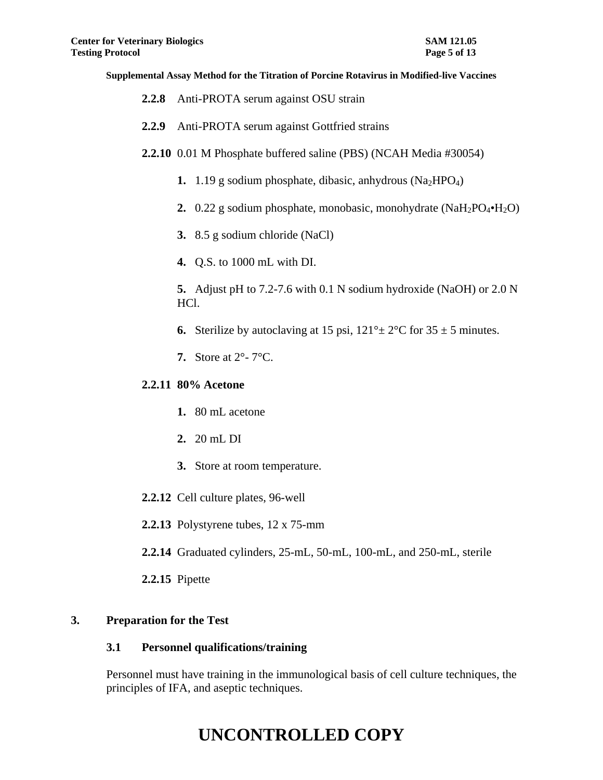- **2.2.8** Anti-PROTA serum against OSU strain
- **2.2.9** Anti-PROTA serum against Gottfried strains
- **2.2.10** 0.01 M Phosphate buffered saline (PBS) (NCAH Media #30054)
	- **1.**  $1.19$  g sodium phosphate, dibasic, anhydrous (Na<sub>2</sub>HPO<sub>4</sub>)
	- **2.** 0.22 g sodium phosphate, monobasic, monohydrate (NaH<sub>2</sub>PO<sub>4</sub>•H<sub>2</sub>O)
	- **3.** 8.5 g sodium chloride (NaCl)
	- **4.** Q.S. to 1000 mL with DI.

**5.** Adjust pH to 7.2-7.6 with 0.1 N sodium hydroxide (NaOH) or 2.0 N HCl.

- **6.** Sterilize by autoclaving at 15 psi,  $121^\circ \pm 2^\circ \text{C}$  for  $35 \pm 5$  minutes.
- **7.** Store at 2°- 7°C.

#### **2.2.11 80% Acetone**

- **1.** 80 mL acetone
- **2.** 20 mL DI
- **3.** Store at room temperature.
- **2.2.12** Cell culture plates, 96-well
- **2.2.13** Polystyrene tubes, 12 x 75-mm
- **2.2.14** Graduated cylinders, 25-mL, 50-mL, 100-mL, and 250-mL, sterile
- **2.2.15** Pipette

#### **3. Preparation for the Test**

#### **3.1 Personnel qualifications/training**

Personnel must have training in the immunological basis of cell culture techniques, the principles of IFA, and aseptic techniques.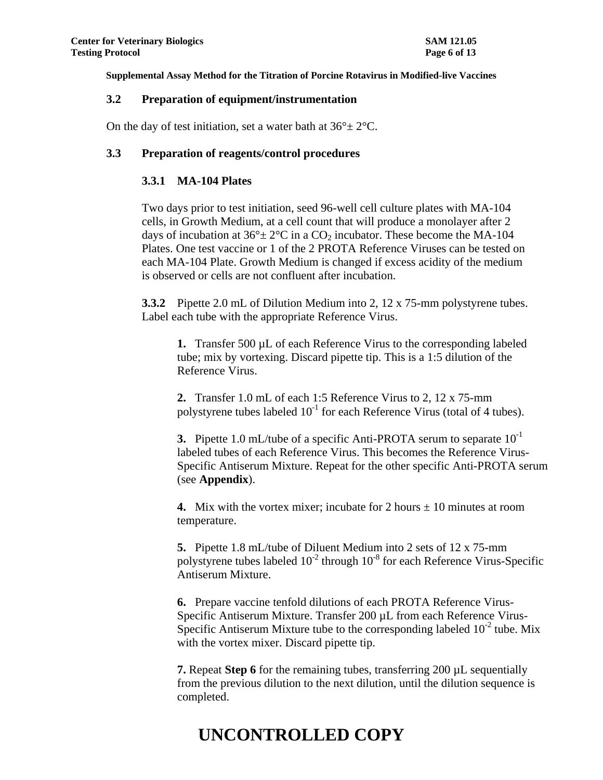#### **3.2 Preparation of equipment/instrumentation**

On the day of test initiation, set a water bath at  $36^{\circ} \pm 2^{\circ}$ C.

#### **3.3 Preparation of reagents/control procedures**

#### **3.3.1 MA-104 Plates**

Two days prior to test initiation, seed 96-well cell culture plates with MA-104 cells, in Growth Medium, at a cell count that will produce a monolayer after 2 days of incubation at  $36^{\circ} \pm 2^{\circ}$ C in a CO<sub>2</sub> incubator. These become the MA-104 Plates. One test vaccine or 1 of the 2 PROTA Reference Viruses can be tested on each MA-104 Plate. Growth Medium is changed if excess acidity of the medium is observed or cells are not confluent after incubation.

**3.3.2** Pipette 2.0 mL of Dilution Medium into 2, 12 x 75-mm polystyrene tubes. Label each tube with the appropriate Reference Virus.

**1.** Transfer 500 µL of each Reference Virus to the corresponding labeled tube; mix by vortexing. Discard pipette tip. This is a 1:5 dilution of the Reference Virus.

**2.** Transfer 1.0 mL of each 1:5 Reference Virus to 2, 12 x 75-mm polystyrene tubes labeled  $10^{-1}$  for each Reference Virus (total of 4 tubes).

**3.** Pipette 1.0 mL/tube of a specific Anti-PROTA serum to separate 10<sup>-1</sup> labeled tubes of each Reference Virus. This becomes the Reference Virus-Specific Antiserum Mixture. Repeat for the other specific Anti-PROTA serum (see **Appendix**).

**4.** Mix with the vortex mixer; incubate for 2 hours  $\pm$  10 minutes at room temperature.

**5.** Pipette 1.8 mL/tube of Diluent Medium into 2 sets of 12 x 75-mm polystyrene tubes labeled  $10^{-2}$  through  $10^{-8}$  for each Reference Virus-Specific Antiserum Mixture.

**6.** Prepare vaccine tenfold dilutions of each PROTA Reference Virus-Specific Antiserum Mixture. Transfer 200 µL from each Reference Virus-Specific Antiserum Mixture tube to the corresponding labeled  $10^{-2}$  tube. Mix with the vortex mixer. Discard pipette tip.

**7.** Repeat **Step 6** for the remaining tubes, transferring 200 µL sequentially from the previous dilution to the next dilution, until the dilution sequence is completed.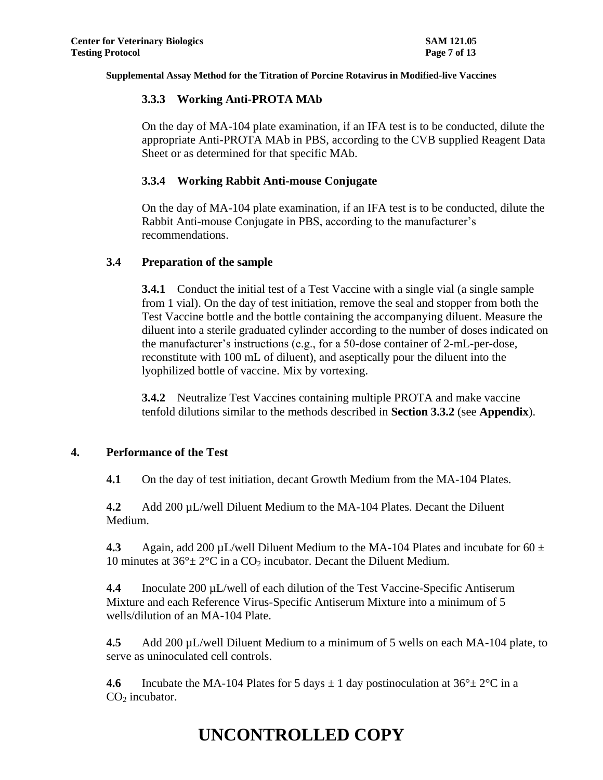## **3.3.3 Working Anti-PROTA MAb**

On the day of MA-104 plate examination, if an IFA test is to be conducted, dilute the appropriate Anti-PROTA MAb in PBS, according to the CVB supplied Reagent Data Sheet or as determined for that specific MAb.

## **3.3.4 Working Rabbit Anti-mouse Conjugate**

On the day of MA-104 plate examination, if an IFA test is to be conducted, dilute the Rabbit Anti-mouse Conjugate in PBS, according to the manufacturer's recommendations.

## **3.4 Preparation of the sample**

**3.4.1** Conduct the initial test of a Test Vaccine with a single vial (a single sample from 1 vial). On the day of test initiation, remove the seal and stopper from both the Test Vaccine bottle and the bottle containing the accompanying diluent. Measure the diluent into a sterile graduated cylinder according to the number of doses indicated on the manufacturer's instructions (e.g., for a 50-dose container of 2-mL-per-dose, reconstitute with 100 mL of diluent), and aseptically pour the diluent into the lyophilized bottle of vaccine. Mix by vortexing.

**3.4.2** Neutralize Test Vaccines containing multiple PROTA and make vaccine tenfold dilutions similar to the methods described in **Section 3.3.2** (see **Appendix**).

## **4. Performance of the Test**

**4.1** On the day of test initiation, decant Growth Medium from the MA-104 Plates.

**4.2** Add 200 µL/well Diluent Medium to the MA-104 Plates. Decant the Diluent Medium.

**4.3** Again, add 200 µL/well Diluent Medium to the MA-104 Plates and incubate for 60  $\pm$ 10 minutes at  $36^{\circ} \pm 2^{\circ}$ C in a CO<sub>2</sub> incubator. Decant the Diluent Medium.

**4.4** Inoculate 200 µL/well of each dilution of the Test Vaccine-Specific Antiserum Mixture and each Reference Virus-Specific Antiserum Mixture into a minimum of 5 wells/dilution of an MA-104 Plate.

**4.5** Add 200 µL/well Diluent Medium to a minimum of 5 wells on each MA-104 plate, to serve as uninoculated cell controls.

**4.6** Incubate the MA-104 Plates for 5 days  $\pm$  1 day postinoculation at 36 $^{\circ}$   $\pm$  2 $^{\circ}$ C in a  $CO<sub>2</sub>$  incubator.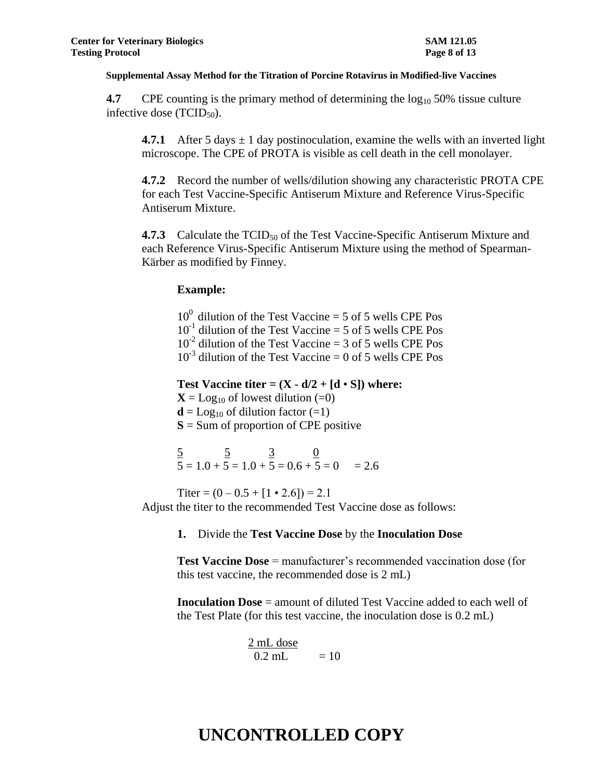**4.7** CPE counting is the primary method of determining the  $\log_{10} 50\%$  tissue culture infective dose  $(TCID<sub>50</sub>)$ .

**4.7.1** After 5 days  $\pm$  1 day postinoculation, examine the wells with an inverted light microscope. The CPE of PROTA is visible as cell death in the cell monolayer.

**4.7.2** Record the number of wells/dilution showing any characteristic PROTA CPE for each Test Vaccine-Specific Antiserum Mixture and Reference Virus-Specific Antiserum Mixture.

**4.7.3** Calculate the TCID<sub>50</sub> of the Test Vaccine-Specific Antiserum Mixture and each Reference Virus-Specific Antiserum Mixture using the method of Spearman-Kärber as modified by Finney.

## **Example:**

 $10^0$  dilution of the Test Vaccine = 5 of 5 wells CPE Pos  $10^{-1}$  dilution of the Test Vaccine = 5 of 5 wells CPE Pos  $10^{-2}$  dilution of the Test Vaccine = 3 of 5 wells CPE Pos  $10^{-3}$  dilution of the Test Vaccine = 0 of 5 wells CPE Pos

**Test Vaccine titer =**  $(X - d/2 + [d \cdot S])$  **where:** 

 $X = \text{Log}_{10}$  of lowest dilution (=0)

 **of dilution factor (=1)** 

**S** = Sum of proportion of CPE positive

 $\frac{5}{5}$   $\frac{5}{3}$   $\frac{0}{2}$  $5 = 1.0 + 5 = 1.0 + 5 = 0.6 + 5 = 0 = 2.6$ 

Titer =  $(0 - 0.5 + [1 \cdot 2.6]) = 2.1$ Adjust the titer to the recommended Test Vaccine dose as follows:

## **1.** Divide the **Test Vaccine Dose** by the **Inoculation Dose**

**Test Vaccine Dose** = manufacturer's recommended vaccination dose (for this test vaccine, the recommended dose is 2 mL)

**Inoculation Dose** = amount of diluted Test Vaccine added to each well of the Test Plate (for this test vaccine, the inoculation dose is 0.2 mL)

$$
\frac{2 \text{ mL dose}}{0.2 \text{ mL}} = 10
$$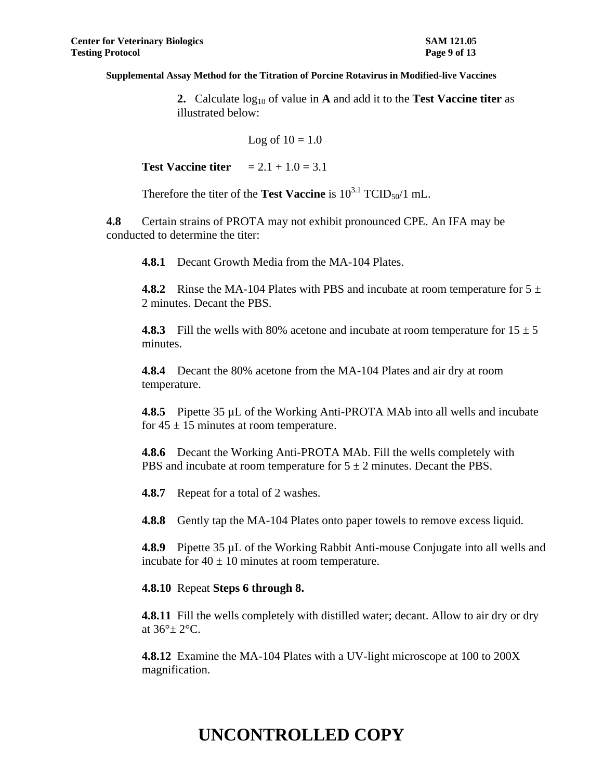**2.** Calculate  $log_{10}$  of value in **A** and add it to the **Test Vaccine titer** as illustrated below:

$$
Log of 10 = 1.0
$$

**Test Vaccine titer**  $= 2.1 + 1.0 = 3.1$ 

Therefore the titer of the **Test Vaccine** is  $10^{3.1}$  TCID<sub>50</sub>/1 mL.

**4.8** Certain strains of PROTA may not exhibit pronounced CPE. An IFA may be conducted to determine the titer:

**4.8.1** Decant Growth Media from the MA-104 Plates.

**4.8.2** • Rinse the MA-104 Plates with PBS and incubate at room temperature for  $5 \pm 1$ 2 minutes. Decant the PBS.

**4.8.3** Fill the wells with 80% acetone and incubate at room temperature for  $15 \pm 5$ minutes.

**4.8.4** Decant the 80% acetone from the MA-104 Plates and air dry at room temperature.

**4.8.5** Pipette 35 µL of the Working Anti-PROTA MAb into all wells and incubate for  $45 \pm 15$  minutes at room temperature.

**4.8.6** Decant the Working Anti-PROTA MAb. Fill the wells completely with PBS and incubate at room temperature for  $5 \pm 2$  minutes. Decant the PBS.

**4.8.7** Repeat for a total of 2 washes.

**4.8.8** Gently tap the MA-104 Plates onto paper towels to remove excess liquid.

**4.8.9** Pipette 35 µL of the Working Rabbit Anti-mouse Conjugate into all wells and incubate for  $40 \pm 10$  minutes at room temperature.

#### **4.8.10** Repeat **Steps 6 through 8.**

**4.8.11** Fill the wells completely with distilled water; decant. Allow to air dry or dry at  $36^\circ \pm 2^\circ \text{C}$ .

**4.8.12** Examine the MA-104 Plates with a UV-light microscope at 100 to 200X magnification.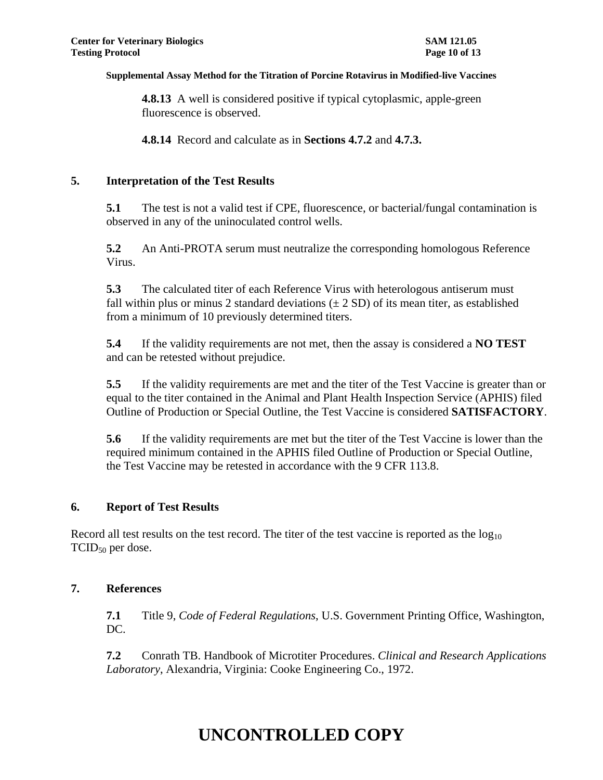**4.8.13** A well is considered positive if typical cytoplasmic, apple-green fluorescence is observed.

**4.8.14** Record and calculate as in **Sections 4.7.2** and **4.7.3.**

## **5. Interpretation of the Test Results**

**5.1** The test is not a valid test if CPE, fluorescence, or bacterial/fungal contamination is observed in any of the uninoculated control wells.

**5.2** An Anti-PROTA serum must neutralize the corresponding homologous Reference Virus.

**5.3** The calculated titer of each Reference Virus with heterologous antiserum must fall within plus or minus 2 standard deviations  $(\pm 2 SD)$  of its mean titer, as established from a minimum of 10 previously determined titers.

**5.4** If the validity requirements are not met, then the assay is considered a **NO TEST** and can be retested without prejudice.

**5.5** If the validity requirements are met and the titer of the Test Vaccine is greater than or equal to the titer contained in the Animal and Plant Health Inspection Service (APHIS) filed Outline of Production or Special Outline, the Test Vaccine is considered **SATISFACTORY**.

**5.6** If the validity requirements are met but the titer of the Test Vaccine is lower than the required minimum contained in the APHIS filed Outline of Production or Special Outline, the Test Vaccine may be retested in accordance with the 9 CFR 113.8.

## **6. Report of Test Results**

Record all test results on the test record. The titer of the test vaccine is reported as the  $log_{10}$  $TCID<sub>50</sub>$  per dose.

## **7. References**

**7.1** Title 9, *Code of Federal Regulations*, U.S. Government Printing Office, Washington, DC.

**7.2** Conrath TB. Handbook of Microtiter Procedures. *Clinical and Research Applications Laboratory*, Alexandria, Virginia: Cooke Engineering Co., 1972.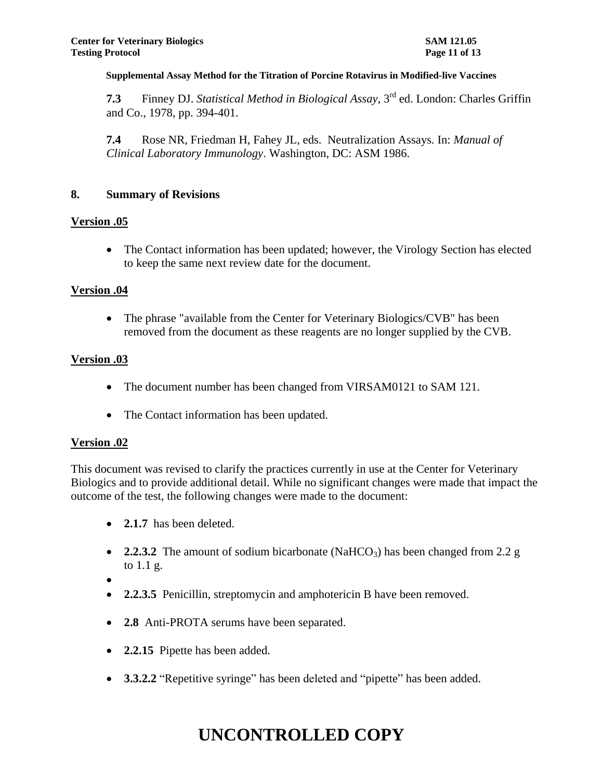**7.3** Finney DJ. *Statistical Method in Biological Assay*, 3rd ed. London: Charles Griffin and Co., 1978, pp. 394-401.

**7.4** Rose NR, Friedman H, Fahey JL, eds. Neutralization Assays*.* In: *Manual of Clinical Laboratory Immunology*. Washington, DC: ASM 1986.

#### **8. Summary of Revisions**

#### **Version .05**

• The Contact information has been updated; however, the Virology Section has elected to keep the same next review date for the document.

#### **Version .04**

• The phrase "available from the Center for Veterinary Biologics/CVB" has been removed from the document as these reagents are no longer supplied by the CVB.

#### **Version .03**

- The document number has been changed from VIRSAM0121 to SAM 121.
- The Contact information has been updated.

#### **Version .02**

This document was revised to clarify the practices currently in use at the Center for Veterinary Biologics and to provide additional detail. While no significant changes were made that impact the outcome of the test, the following changes were made to the document:

- 2.1.7 has been deleted.
- 2.2.3.2 The amount of sodium bicarbonate (NaHCO<sub>3</sub>) has been changed from 2.2 g to 1.1 g.
- $\bullet$
- **2.2.3.5** Penicillin, streptomycin and amphotericin B have been removed.
- **2.8** Anti-PROTA serums have been separated.
- **2.2.15** Pipette has been added.
- **3.3.2.2** "Repetitive syringe" has been deleted and "pipette" has been added.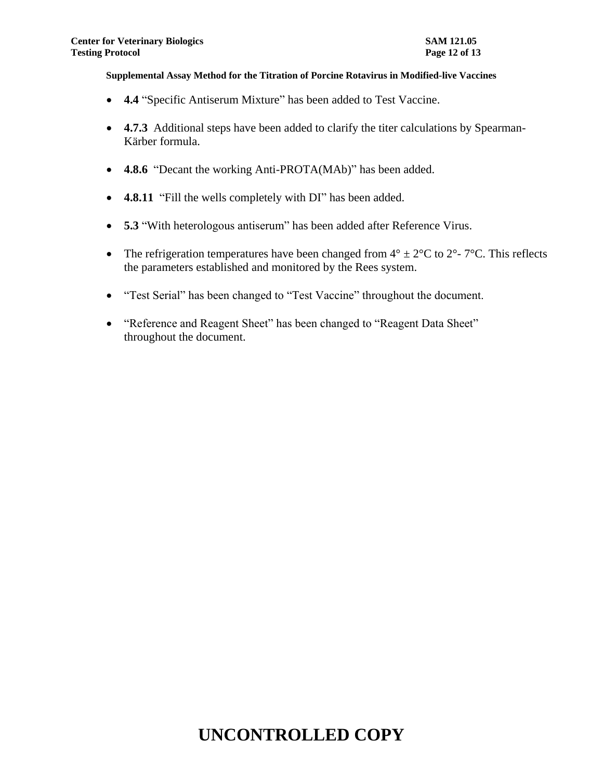- **4.4** "Specific Antiserum Mixture" has been added to Test Vaccine.
- **4.7.3** Additional steps have been added to clarify the titer calculations by Spearman-Kärber formula.
- **4.8.6** "Decant the working Anti-PROTA(MAb)" has been added.
- **4.8.11** "Fill the wells completely with DI" has been added.
- **5.3** "With heterologous antiserum" has been added after Reference Virus.
- The refrigeration temperatures have been changed from  $4^{\circ} \pm 2^{\circ}C$  to  $2^{\circ}$   $7^{\circ}C$ . This reflects the parameters established and monitored by the Rees system.
- "Test Serial" has been changed to "Test Vaccine" throughout the document.
- "Reference and Reagent Sheet" has been changed to "Reagent Data Sheet" throughout the document.